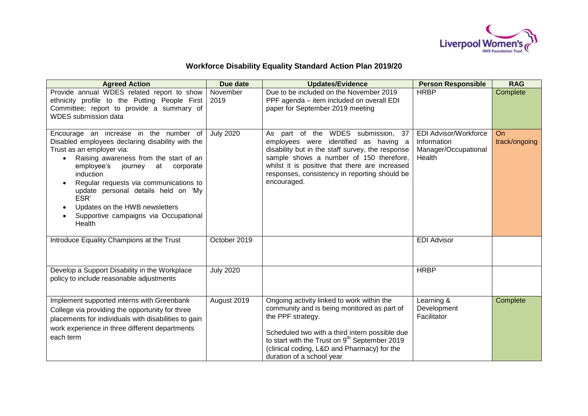

## **Workforce Disability Equality Standard Action Plan 2019/20**

| <b>Agreed Action</b>                                                                                                                                                                                                                                                                                                                                                                               | Due date         | <b>Updates/Evidence</b>                                                                                                                                                                                                                                                                                   | <b>Person Responsible</b>                                                     | <b>RAG</b>                 |
|----------------------------------------------------------------------------------------------------------------------------------------------------------------------------------------------------------------------------------------------------------------------------------------------------------------------------------------------------------------------------------------------------|------------------|-----------------------------------------------------------------------------------------------------------------------------------------------------------------------------------------------------------------------------------------------------------------------------------------------------------|-------------------------------------------------------------------------------|----------------------------|
| Provide annual WDES related report to show<br>ethnicity profile to the Putting People First<br>Committee; report to provide a summary of<br><b>WDES</b> submission data                                                                                                                                                                                                                            | November<br>2019 | Due to be included on the November 2019<br>PPF agenda – item included on overall EDI<br>paper for September 2019 meeting                                                                                                                                                                                  | <b>HRBP</b>                                                                   | Complete                   |
| Encourage an increase in the number of<br>Disabled employees declaring disability with the<br>Trust as an employer via:<br>Raising awareness from the start of an<br>employee's journey<br>at corporate<br>induction<br>Regular requests via communications to<br>update personal details held on 'My<br>ESR'<br>Updates on the HWB newsletters<br>Supportive campaigns via Occupational<br>Health | <b>July 2020</b> | As part of the WDES submission, 37<br>employees were identified as having a<br>disability but in the staff survey, the response<br>sample shows a number of 150 therefore,<br>whilst it is positive that there are increased<br>responses, consistency in reporting should be<br>encouraged.              | <b>EDI Advisor/Workforce</b><br>Information<br>Manager/Occupational<br>Health | <b>On</b><br>track/ongoing |
| Introduce Equality Champions at the Trust                                                                                                                                                                                                                                                                                                                                                          | October 2019     |                                                                                                                                                                                                                                                                                                           | <b>EDI Advisor</b>                                                            |                            |
| Develop a Support Disability in the Workplace<br>policy to include reasonable adjustments                                                                                                                                                                                                                                                                                                          | <b>July 2020</b> |                                                                                                                                                                                                                                                                                                           | <b>HRBP</b>                                                                   |                            |
| Implement supported interns with Greenbank<br>College via providing the opportunity for three<br>placements for individuals with disabilities to gain<br>work experience in three different departments<br>each term                                                                                                                                                                               | August 2019      | Ongoing activity linked to work within the<br>community and is being monitored as part of<br>the PPF strategy.<br>Scheduled two with a third intern possible due<br>to start with the Trust on 9 <sup>th</sup> September 2019<br>(clinical coding, L&D and Pharmacy) for the<br>duration of a school year | Learning &<br>Development<br>Facilitator                                      | Complete                   |